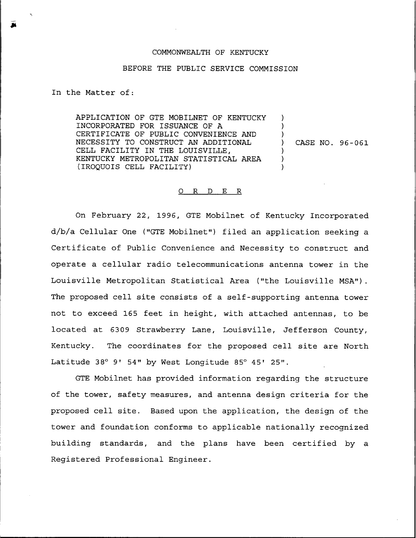## COMMONWEALTH OF KENTUCKY

## BEFORE THE PUBLIC SERVICE COMMISSION

In the Matter of:

APPLICATION OF GTE MOBILNET OF KENTUCKY INCORPORATED FOR ISSUANCE OF A CERTIFICATE OF PUBLIC CONVENIENCE AND NECESSITY TO CONSTRUCT AN ADDITIONAL CELL FACILITY IN THE LOUISVILLE, KENTUCKY METROPOLITAN STATISTICAL AREA (IROQUOIS CELL FACILITY)

) CASE NO. 96-061

) ) )

) ) )

## 0 R <sup>D</sup> E R

On February 22, 1996, GTE Mobilnet of Kentucky Incorporated d/b/a Cellular One ("GTE Mobilnet") filed an application seeking a Certificate of Public Convenience and. Necessity to construct and operate a cellular radio telecommunications antenna tower in the Louisville Metropolitan Statistical Area ("the Louisville MSA"). The proposed cell site consists of a self-supporting antenna tower not to exceed 165 feet in height, with attached antennas, to be located at 6309 Strawberry Lane, Louisville, Jefferson County, Kentucky. The coordinates for the proposed cell site are North Latitude 38° 9' 54" by West Longitude 85° 45' 25".

GTE Mobilnet has provided information regarding the structure of the tower, safety measures, and antenna design criteria for the proposed cell site. Based upon the application, the design of the tower and foundation conforms to applicable nationally recognized building standards, and the plans have been certified by a Registered Professional Engineer.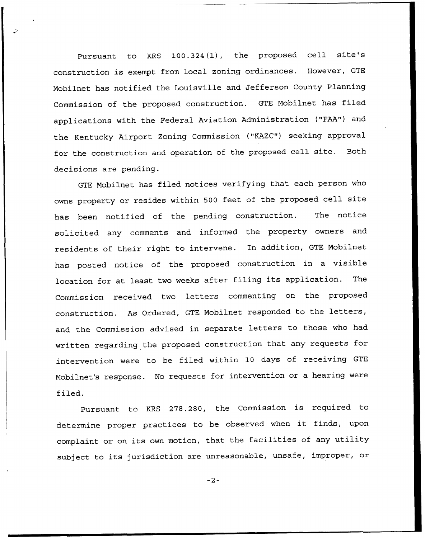Pursuant to KRS 100.324 (1), the proposed cell site's construction is exempt from local zoning ordinances. However, GTE Mobilnet has notified the Louisville and Jefferson County Planning Commission of the proposed construction. GTE Mobilnet has filed applications with the Federal Aviation Administration ("FAA") and the Kentucky Airport Zoning Commission ("KAZC") seeking approval for the construction and operation of the proposed cell site. Both decisions are pending.

GTE Mobilnet has filed notices verifying that each person who owns property or resides within <sup>500</sup> feet of the proposed cell site has been notified of the pending construction. The notice solicited any comments and informed the property owners and residents of their right to intervene. In addition, GTE Mobilnet has posted notice of the proposed construction in <sup>a</sup> visible location for at least two weeks after filing its application. The Commission received two letters commenting on the proposed construction. As Ordered, GTE Mobilnet responded to the letters, and the Commission advised in separate letters to those who had written regarding the proposed construction that any requests for intervention were to be filed within 10 days of receiving GTE Mobilnet's response. No requests for intervention or a hearing were filed.

Pursuant to KRS 278.280, the Commission is required to determine proper practices to be observed when it finds, upon complaint or on its own motion, that the facilities of any utility subject to its jurisdiction are unreasonable, unsafe, improper, or

 $-2-$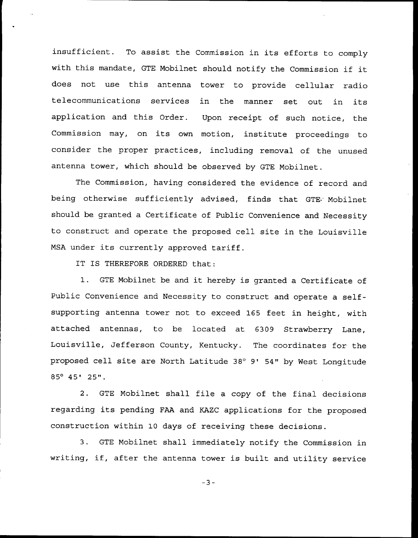insufficient. To assist the Commission in its efforts to comply with this mandate, GTE Mobilnet should notify the Commission if it does not use this antenna tower to provide cellular radio telecommunications services in the manner set out in its application and this Order. Upon receipt of such notice, the Commission may, on its own motion, institute proceedings to consider the proper practices, including removal of the unused antenna tower, which should be observed by GTE Mobilnet.

The Commission, having considered the evidence of record and being otherwise sufficiently advised, finds that GTE Mobilnet should be granted a Certificate of Public Convenience and Necessity to construct and operate the proposed cell site in the Louisville MSA under its currently approved tariff.

IT IS THEREFORE ORDERED that:

1. GTE Mobilnet be and it hereby is granted <sup>a</sup> Certificate of Public Convenience and Necessity to construct and operate a selfsupporting antenna tower not to exceed 165 feet in height, with attached antennas, to be located at 6309 Strawberry Lane, Louisville, Jefferson County, Kentucky. The coordinates for the proposed cell site are North Latitude 38° 9' 54" by West Longitude  $85^{\circ}$  45' 25".

GTE Mobilnet shall file a copy of the final decisions regarding its pending FAA and KAZC applications for the proposed construction within 10 days of receiving these decisions.

3. GTE Mobilnet shall immediately notify the Commission in writing, if, after the antenna tower is built and utility service

 $-3-$